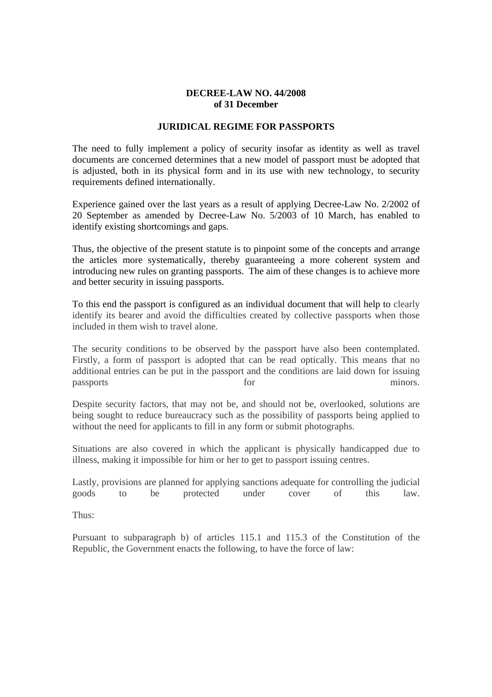#### **DECREE-LAW NO. 44/2008 of 31 December**

# **JURIDICAL REGIME FOR PASSPORTS**

The need to fully implement a policy of security insofar as identity as well as travel documents are concerned determines that a new model of passport must be adopted that is adjusted, both in its physical form and in its use with new technology, to security requirements defined internationally.

Experience gained over the last years as a result of applying Decree-Law No. 2/2002 of 20 September as amended by Decree-Law No. 5/2003 of 10 March, has enabled to identify existing shortcomings and gaps.

Thus, the objective of the present statute is to pinpoint some of the concepts and arrange the articles more systematically, thereby guaranteeing a more coherent system and introducing new rules on granting passports. The aim of these changes is to achieve more and better security in issuing passports.

To this end the passport is configured as an individual document that will help to clearly identify its bearer and avoid the difficulties created by collective passports when those included in them wish to travel alone.

The security conditions to be observed by the passport have also been contemplated. Firstly, a form of passport is adopted that can be read optically. This means that no additional entries can be put in the passport and the conditions are laid down for issuing passports for minors.

Despite security factors, that may not be, and should not be, overlooked, solutions are being sought to reduce bureaucracy such as the possibility of passports being applied to without the need for applicants to fill in any form or submit photographs.

Situations are also covered in which the applicant is physically handicapped due to illness, making it impossible for him or her to get to passport issuing centres.

Lastly, provisions are planned for applying sanctions adequate for controlling the judicial goods to be protected under cover of this law.

Thus:

Pursuant to subparagraph b) of articles 115.1 and 115.3 of the Constitution of the Republic, the Government enacts the following, to have the force of law: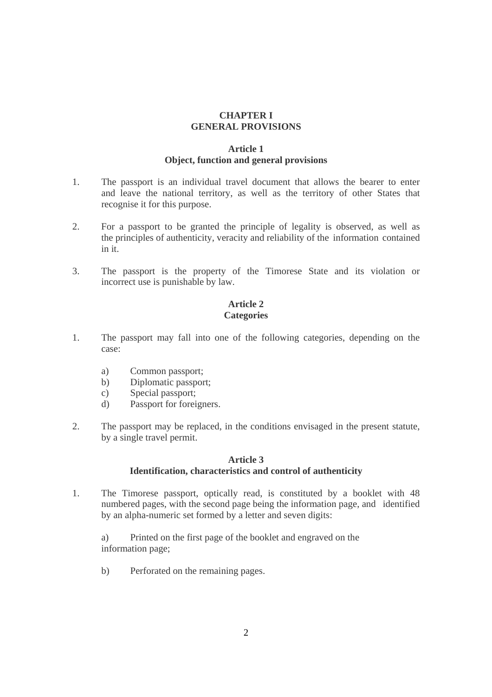# **CHAPTER I GENERAL PROVISIONS**

# **Article 1 Object, function and general provisions**

- 1. The passport is an individual travel document that allows the bearer to enter and leave the national territory, as well as the territory of other States that recognise it for this purpose.
- 2. For a passport to be granted the principle of legality is observed, as well as the principles of authenticity, veracity and reliability of the information contained in it.
- 3. The passport is the property of the Timorese State and its violation or incorrect use is punishable by law.

## **Article 2 Categories**

- 1. The passport may fall into one of the following categories, depending on the case:
	- a) Common passport;
	- b) Diplomatic passport;
	- c) Special passport;
	- d) Passport for foreigners.
- 2. The passport may be replaced, in the conditions envisaged in the present statute, by a single travel permit.

#### **Article 3 Identification, characteristics and control of authenticity**

1. The Timorese passport, optically read, is constituted by a booklet with 48 numbered pages, with the second page being the information page, and identified by an alpha-numeric set formed by a letter and seven digits:

 a) Printed on the first page of the booklet and engraved on the information page;

b) Perforated on the remaining pages.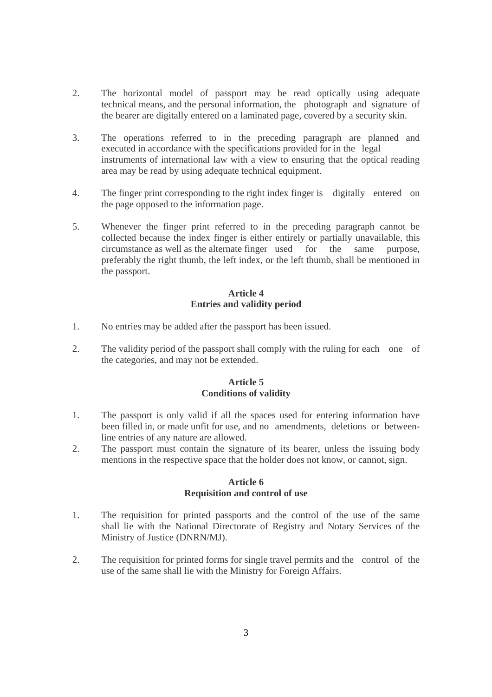- 2. The horizontal model of passport may be read optically using adequate technical means, and the personal information, the photograph and signature of the bearer are digitally entered on a laminated page, covered by a security skin.
- 3. The operations referred to in the preceding paragraph are planned and executed in accordance with the specifications provided for in the legal instruments of international law with a view to ensuring that the optical reading area may be read by using adequate technical equipment.
- 4. The finger print corresponding to the right index finger is digitally entered on the page opposed to the information page.
- 5. Whenever the finger print referred to in the preceding paragraph cannot be collected because the index finger is either entirely or partially unavailable, this circumstance as well as the alternate finger used for the same purpose, preferably the right thumb, the left index, or the left thumb, shall be mentioned in the passport.

# **Article 4 Entries and validity period**

- 1. No entries may be added after the passport has been issued.
- 2. The validity period of the passport shall comply with the ruling for each one of the categories, and may not be extended.

# **Article 5 Conditions of validity**

- 1. The passport is only valid if all the spaces used for entering information have been filled in, or made unfit for use, and no amendments, deletions or between line entries of any nature are allowed.
- 2. The passport must contain the signature of its bearer, unless the issuing body mentions in the respective space that the holder does not know, or cannot, sign.

#### **Article 6 Requisition and control of use**

- 1. The requisition for printed passports and the control of the use of the same shall lie with the National Directorate of Registry and Notary Services of the Ministry of Justice (DNRN/MJ).
- 2. The requisition for printed forms for single travel permits and the control of the use of the same shall lie with the Ministry for Foreign Affairs.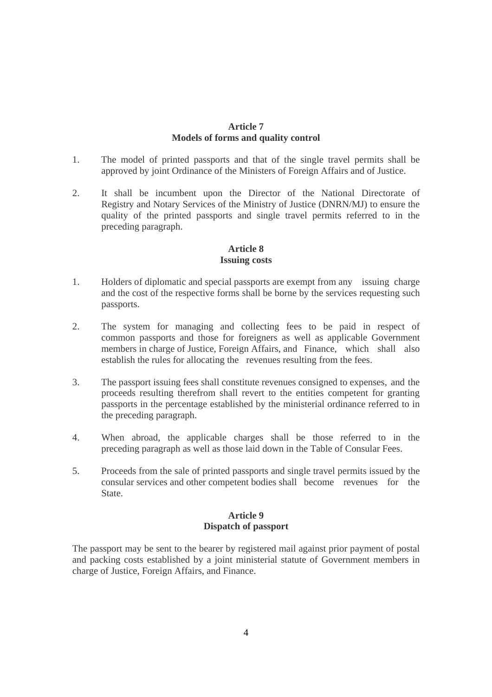## **Article 7 Models of forms and quality control**

- 1. The model of printed passports and that of the single travel permits shall be approved by joint Ordinance of the Ministers of Foreign Affairs and of Justice.
- 2. It shall be incumbent upon the Director of the National Directorate of Registry and Notary Services of the Ministry of Justice (DNRN/MJ) to ensure the quality of the printed passports and single travel permits referred to in the preceding paragraph.

# **Article 8 Issuing costs**

- 1. Holders of diplomatic and special passports are exempt from any issuing charge and the cost of the respective forms shall be borne by the services requesting such passports.
- 2. The system for managing and collecting fees to be paid in respect of common passports and those for foreigners as well as applicable Government members in charge of Justice, Foreign Affairs, and Finance, which shall also establish the rules for allocating the revenues resulting from the fees.
- 3. The passport issuing fees shall constitute revenues consigned to expenses, and the proceeds resulting therefrom shall revert to the entities competent for granting passports in the percentage established by the ministerial ordinance referred to in the preceding paragraph.
- 4. When abroad, the applicable charges shall be those referred to in the preceding paragraph as well as those laid down in the Table of Consular Fees.
- 5. Proceeds from the sale of printed passports and single travel permits issued by the consular services and other competent bodies shall become revenues for the State.

#### **Article 9 Dispatch of passport**

The passport may be sent to the bearer by registered mail against prior payment of postal and packing costs established by a joint ministerial statute of Government members in charge of Justice, Foreign Affairs, and Finance.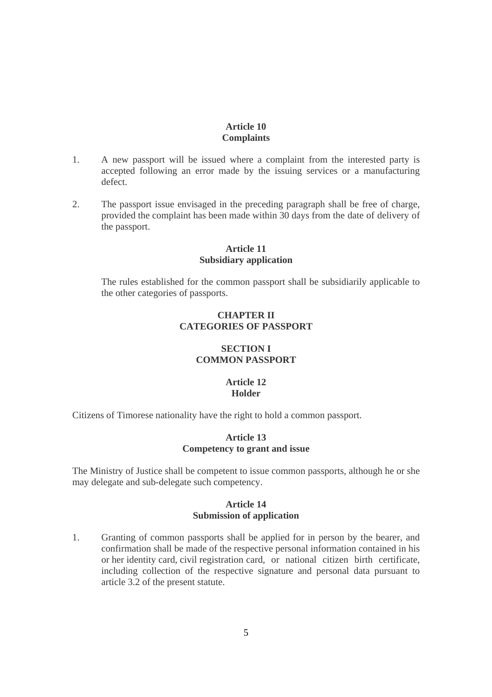#### **Article 10 Complaints**

- 1. A new passport will be issued where a complaint from the interested party is accepted following an error made by the issuing services or a manufacturing defect.
- 2. The passport issue envisaged in the preceding paragraph shall be free of charge, provided the complaint has been made within 30 days from the date of delivery of the passport.

#### **Article 11 Subsidiary application**

 The rules established for the common passport shall be subsidiarily applicable to the other categories of passports.

# **CHAPTER II CATEGORIES OF PASSPORT**

# **SECTION I COMMON PASSPORT**

# **Article 12 Holder**

Citizens of Timorese nationality have the right to hold a common passport.

### **Article 13 Competency to grant and issue**

The Ministry of Justice shall be competent to issue common passports, although he or she may delegate and sub-delegate such competency.

#### **Article 14 Submission of application**

1. Granting of common passports shall be applied for in person by the bearer, and confirmation shall be made of the respective personal information contained in his or her identity card, civil registration card, or national citizen birth certificate, including collection of the respective signature and personal data pursuant to article 3.2 of the present statute.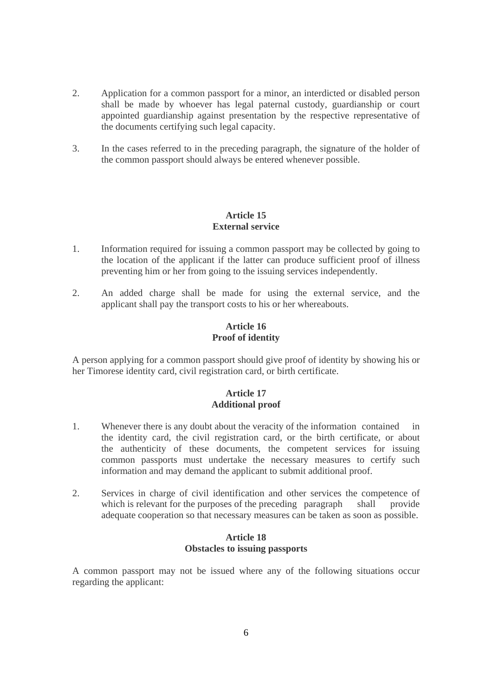- 2. Application for a common passport for a minor, an interdicted or disabled person shall be made by whoever has legal paternal custody, guardianship or court appointed guardianship against presentation by the respective representative of the documents certifying such legal capacity.
- 3. In the cases referred to in the preceding paragraph, the signature of the holder of the common passport should always be entered whenever possible.

## **Article 15 External service**

- 1. Information required for issuing a common passport may be collected by going to the location of the applicant if the latter can produce sufficient proof of illness preventing him or her from going to the issuing services independently.
- 2. An added charge shall be made for using the external service, and the applicant shall pay the transport costs to his or her whereabouts.

# **Article 16 Proof of identity**

A person applying for a common passport should give proof of identity by showing his or her Timorese identity card, civil registration card, or birth certificate.

# **Article 17 Additional proof**

- 1. Whenever there is any doubt about the veracity of the information contained in the identity card, the civil registration card, or the birth certificate, or about the authenticity of these documents, the competent services for issuing common passports must undertake the necessary measures to certify such information and may demand the applicant to submit additional proof.
- 2. Services in charge of civil identification and other services the competence of which is relevant for the purposes of the preceding paragraph shall provide adequate cooperation so that necessary measures can be taken as soon as possible.

# **Article 18 Obstacles to issuing passports**

A common passport may not be issued where any of the following situations occur regarding the applicant: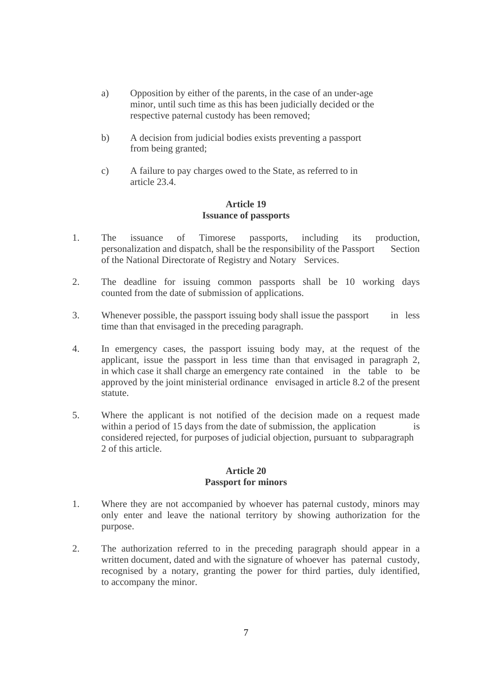- a) Opposition by either of the parents, in the case of an under-age minor, until such time as this has been judicially decided or the respective paternal custody has been removed;
- b) A decision from judicial bodies exists preventing a passport from being granted;
- c) A failure to pay charges owed to the State, as referred to in article 23.4.

#### **Article 19 Issuance of passports**

- 1. The issuance of Timorese passports, including its production, personalization and dispatch, shall be the responsibility of the Passport Section of the National Directorate of Registry and Notary Services.
- 2. The deadline for issuing common passports shall be 10 working days counted from the date of submission of applications.
- 3. Whenever possible, the passport issuing body shall issue the passport in less time than that envisaged in the preceding paragraph.
- 4. In emergency cases, the passport issuing body may, at the request of the applicant, issue the passport in less time than that envisaged in paragraph 2, in which case it shall charge an emergency rate contained in the table to be approved by the joint ministerial ordinance envisaged in article 8.2 of the present statute.
- 5. Where the applicant is not notified of the decision made on a request made within a period of 15 days from the date of submission, the application is considered rejected, for purposes of judicial objection, pursuant to subparagraph 2 of this article.

#### **Article 20 Passport for minors**

- 1. Where they are not accompanied by whoever has paternal custody, minors may only enter and leave the national territory by showing authorization for the purpose.
- 2. The authorization referred to in the preceding paragraph should appear in a written document, dated and with the signature of whoever has paternal custody, recognised by a notary, granting the power for third parties, duly identified, to accompany the minor.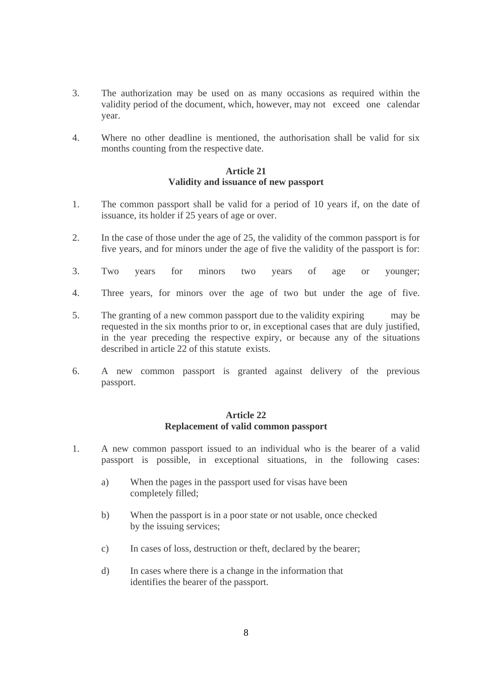- 3. The authorization may be used on as many occasions as required within the validity period of the document, which, however, may not exceed one calendar year.
- 4. Where no other deadline is mentioned, the authorisation shall be valid for six months counting from the respective date.

## **Article 21 Validity and issuance of new passport**

- 1. The common passport shall be valid for a period of 10 years if, on the date of issuance, its holder if 25 years of age or over.
- 2. In the case of those under the age of 25, the validity of the common passport is for five years, and for minors under the age of five the validity of the passport is for:
- 3. Two years for minors two years of age or younger;
- 4. Three years, for minors over the age of two but under the age of five.
- 5. The granting of a new common passport due to the validity expiring may be requested in the six months prior to or, in exceptional cases that are duly justified, in the year preceding the respective expiry, or because any of the situations described in article 22 of this statute exists.
- 6. A new common passport is granted against delivery of the previous passport.

#### **Article 22 Replacement of valid common passport**

- 1. A new common passport issued to an individual who is the bearer of a valid passport is possible, in exceptional situations, in the following cases:
	- a) When the pages in the passport used for visas have been completely filled;
	- b) When the passport is in a poor state or not usable, once checked by the issuing services;
	- c) In cases of loss, destruction or theft, declared by the bearer;
	- d) In cases where there is a change in the information that identifies the bearer of the passport.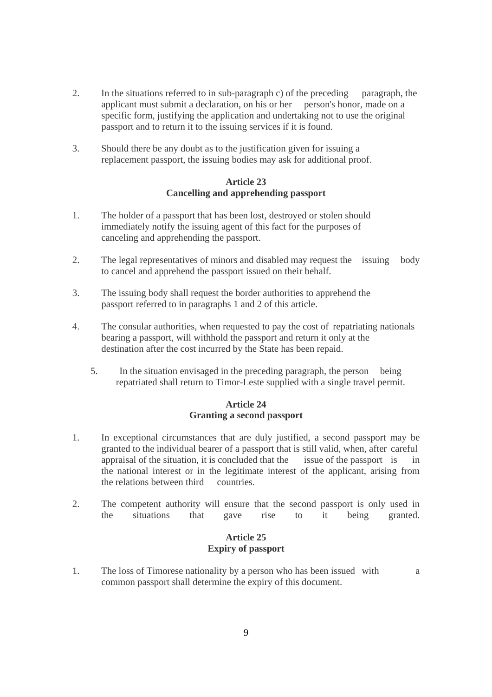- 2. In the situations referred to in sub-paragraph c) of the preceding paragraph, the applicant must submit a declaration, on his or her person's honor, made on a specific form, justifying the application and undertaking not to use the original passport and to return it to the issuing services if it is found.
- 3. Should there be any doubt as to the justification given for issuing a replacement passport, the issuing bodies may ask for additional proof.

## **Article 23 Cancelling and apprehending passport**

- 1. The holder of a passport that has been lost, destroyed or stolen should immediately notify the issuing agent of this fact for the purposes of canceling and apprehending the passport.
- 2. The legal representatives of minors and disabled may request the issuing body to cancel and apprehend the passport issued on their behalf.
- 3. The issuing body shall request the border authorities to apprehend the passport referred to in paragraphs 1 and 2 of this article.
- 4. The consular authorities, when requested to pay the cost of repatriating nationals bearing a passport, will withhold the passport and return it only at the destination after the cost incurred by the State has been repaid.
	- 5. In the situation envisaged in the preceding paragraph, the person being repatriated shall return to Timor-Leste supplied with a single travel permit.

# **Article 24 Granting a second passport**

- 1. In exceptional circumstances that are duly justified, a second passport may be granted to the individual bearer of a passport that is still valid, when, after careful appraisal of the situation, it is concluded that the issue of the passport is in the national interest or in the legitimate interest of the applicant, arising from the relations between third countries.
- 2. The competent authority will ensure that the second passport is only used in the situations that gave rise to it being granted.

# **Article 25 Expiry of passport**

1. The loss of Timorese nationality by a person who has been issued with a common passport shall determine the expiry of this document.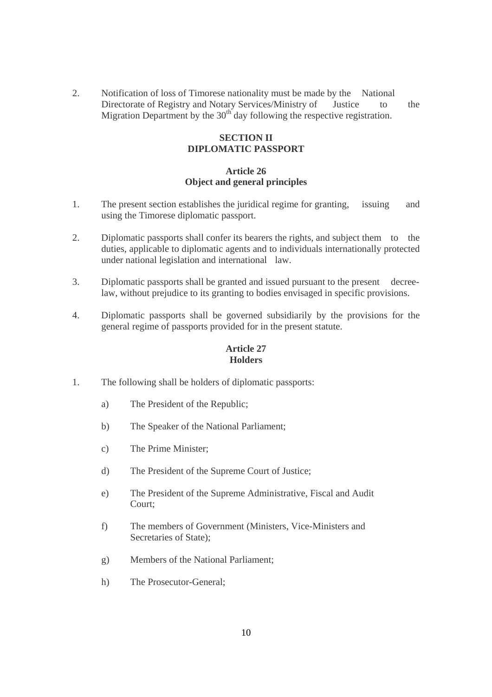2. Notification of loss of Timorese nationality must be made by the National Directorate of Registry and Notary Services/Ministry of Justice to the Migration Department by the  $30<sup>th</sup>$  day following the respective registration.

# **SECTION II DIPLOMATIC PASSPORT**

# **Article 26 Object and general principles**

- 1. The present section establishes the juridical regime for granting, issuing and using the Timorese diplomatic passport.
- 2. Diplomatic passports shall confer its bearers the rights, and subject them to the duties, applicable to diplomatic agents and to individuals internationally protected under national legislation and international law.
- 3. Diplomatic passports shall be granted and issued pursuant to the present decree law, without prejudice to its granting to bodies envisaged in specific provisions.
- 4. Diplomatic passports shall be governed subsidiarily by the provisions for the general regime of passports provided for in the present statute.

#### **Article 27 Holders**

- 1. The following shall be holders of diplomatic passports:
	- a) The President of the Republic;
	- b) The Speaker of the National Parliament;
	- c) The Prime Minister;
	- d) The President of the Supreme Court of Justice;
	- e) The President of the Supreme Administrative, Fiscal and Audit Court;
	- f) The members of Government (Ministers, Vice-Ministers and Secretaries of State);
	- g) Members of the National Parliament;
	- h) The Prosecutor-General;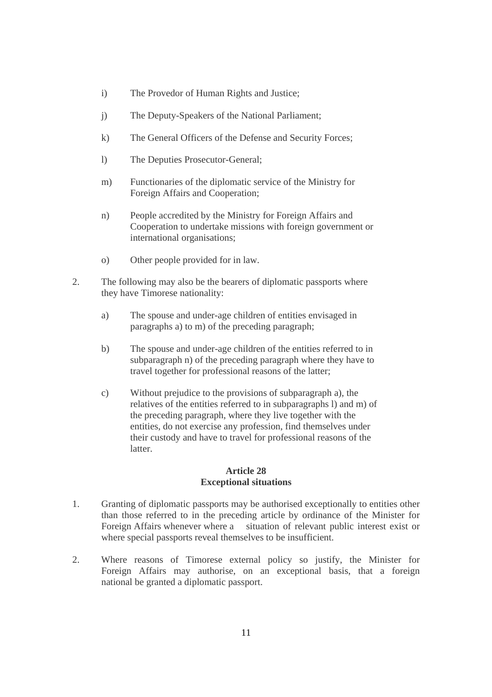- i) The Provedor of Human Rights and Justice;
- j) The Deputy-Speakers of the National Parliament;
- k) The General Officers of the Defense and Security Forces;
- l) The Deputies Prosecutor-General;
- m) Functionaries of the diplomatic service of the Ministry for Foreign Affairs and Cooperation;
- n) People accredited by the Ministry for Foreign Affairs and Cooperation to undertake missions with foreign government or international organisations;
- o) Other people provided for in law.
- 2. The following may also be the bearers of diplomatic passports where they have Timorese nationality:
	- a) The spouse and under-age children of entities envisaged in paragraphs a) to m) of the preceding paragraph;
	- b) The spouse and under-age children of the entities referred to in subparagraph n) of the preceding paragraph where they have to travel together for professional reasons of the latter;
	- c) Without prejudice to the provisions of subparagraph a), the relatives of the entities referred to in subparagraphs l) and m) of the preceding paragraph, where they live together with the entities, do not exercise any profession, find themselves under their custody and have to travel for professional reasons of the latter.

#### **Article 28 Exceptional situations**

- 1. Granting of diplomatic passports may be authorised exceptionally to entities other than those referred to in the preceding article by ordinance of the Minister for Foreign Affairs whenever where a situation of relevant public interest exist or where special passports reveal themselves to be insufficient.
- 2. Where reasons of Timorese external policy so justify, the Minister for Foreign Affairs may authorise, on an exceptional basis, that a foreign national be granted a diplomatic passport.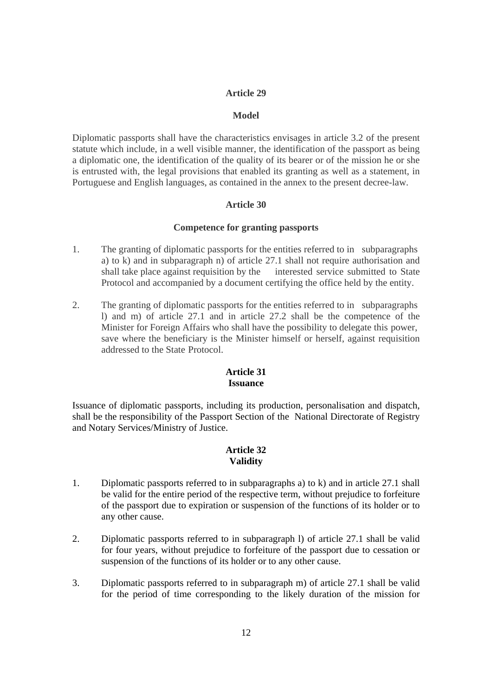## **Article 29**

#### **Model**

Diplomatic passports shall have the characteristics envisages in article 3.2 of the present statute which include, in a well visible manner, the identification of the passport as being a diplomatic one, the identification of the quality of its bearer or of the mission he or she is entrusted with, the legal provisions that enabled its granting as well as a statement, in Portuguese and English languages, as contained in the annex to the present decree-law.

## **Article 30**

#### **Competence for granting passports**

- 1. The granting of diplomatic passports for the entities referred to in subparagraphs a) to k) and in subparagraph n) of article 27.1 shall not require authorisation and shall take place against requisition by the interested service submitted to State Protocol and accompanied by a document certifying the office held by the entity.
- 2. The granting of diplomatic passports for the entities referred to in subparagraphs l) and m) of article 27.1 and in article 27.2 shall be the competence of the Minister for Foreign Affairs who shall have the possibility to delegate this power, save where the beneficiary is the Minister himself or herself, against requisition addressed to the State Protocol.

#### **Article 31 Issuance**

Issuance of diplomatic passports, including its production, personalisation and dispatch, shall be the responsibility of the Passport Section of the National Directorate of Registry and Notary Services/Ministry of Justice.

#### **Article 32 Validity**

- 1. Diplomatic passports referred to in subparagraphs a) to k) and in article 27.1 shall be valid for the entire period of the respective term, without prejudice to forfeiture of the passport due to expiration or suspension of the functions of its holder or to any other cause.
- 2. Diplomatic passports referred to in subparagraph l) of article 27.1 shall be valid for four years, without prejudice to forfeiture of the passport due to cessation or suspension of the functions of its holder or to any other cause.
- 3. Diplomatic passports referred to in subparagraph m) of article 27.1 shall be valid for the period of time corresponding to the likely duration of the mission for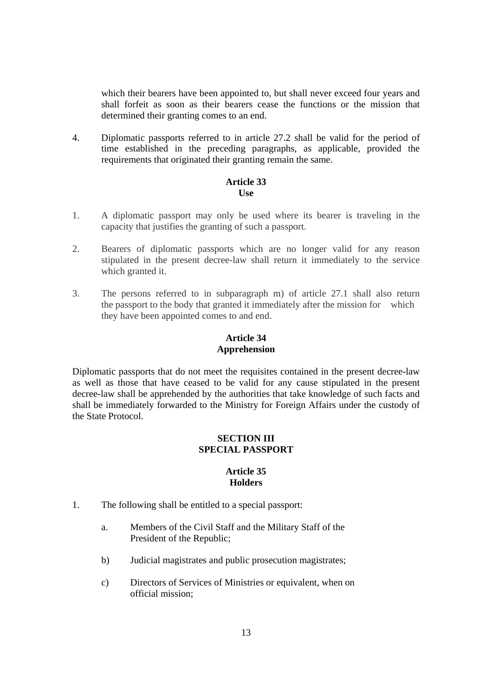which their bearers have been appointed to, but shall never exceed four years and shall forfeit as soon as their bearers cease the functions or the mission that determined their granting comes to an end.

4. Diplomatic passports referred to in article 27.2 shall be valid for the period of time established in the preceding paragraphs, as applicable, provided the requirements that originated their granting remain the same.

#### **Article 33 Use**

- 1. A diplomatic passport may only be used where its bearer is traveling in the capacity that justifies the granting of such a passport.
- 2. Bearers of diplomatic passports which are no longer valid for any reason stipulated in the present decree-law shall return it immediately to the service which granted it.
- 3. The persons referred to in subparagraph m) of article 27.1 shall also return the passport to the body that granted it immediately after the mission for which they have been appointed comes to and end.

# **Article 34 Apprehension**

Diplomatic passports that do not meet the requisites contained in the present decree-law as well as those that have ceased to be valid for any cause stipulated in the present decree-law shall be apprehended by the authorities that take knowledge of such facts and shall be immediately forwarded to the Ministry for Foreign Affairs under the custody of the State Protocol.

# **SECTION III SPECIAL PASSPORT**

# **Article 35 Holders**

- 1. The following shall be entitled to a special passport:
	- a. Members of the Civil Staff and the Military Staff of the President of the Republic;
	- b) Judicial magistrates and public prosecution magistrates;
	- c) Directors of Services of Ministries or equivalent, when on official mission;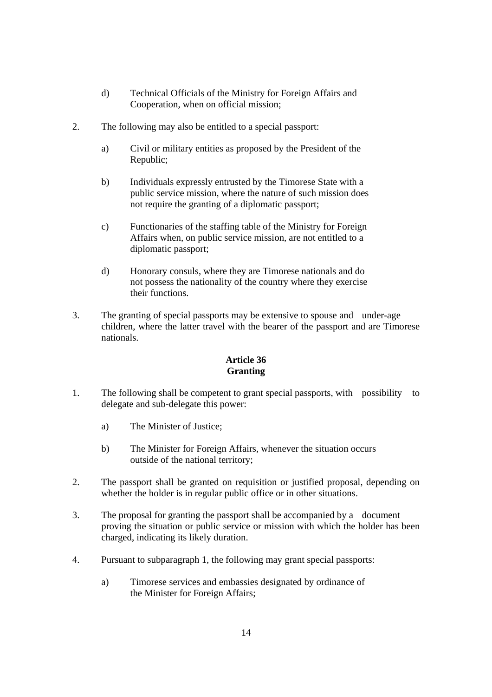- d) Technical Officials of the Ministry for Foreign Affairs and Cooperation, when on official mission;
- 2. The following may also be entitled to a special passport:
	- a) Civil or military entities as proposed by the President of the Republic;
	- b) Individuals expressly entrusted by the Timorese State with a public service mission, where the nature of such mission does not require the granting of a diplomatic passport;
	- c) Functionaries of the staffing table of the Ministry for Foreign Affairs when, on public service mission, are not entitled to a diplomatic passport;
	- d) Honorary consuls, where they are Timorese nationals and do not possess the nationality of the country where they exercise their functions.
- 3. The granting of special passports may be extensive to spouse and under-age children, where the latter travel with the bearer of the passport and are Timorese nationals.

# **Article 36 Granting**

- 1. The following shall be competent to grant special passports, with possibility to delegate and sub-delegate this power:
	- a) The Minister of Justice;
	- b) The Minister for Foreign Affairs, whenever the situation occurs outside of the national territory;
- 2. The passport shall be granted on requisition or justified proposal, depending on whether the holder is in regular public office or in other situations.
- 3. The proposal for granting the passport shall be accompanied by a document proving the situation or public service or mission with which the holder has been charged, indicating its likely duration.
- 4. Pursuant to subparagraph 1, the following may grant special passports:
	- a) Timorese services and embassies designated by ordinance of the Minister for Foreign Affairs;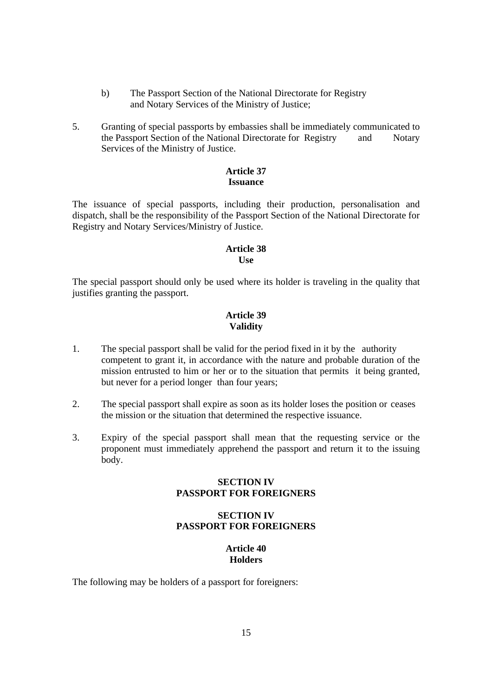- b) The Passport Section of the National Directorate for Registry and Notary Services of the Ministry of Justice;
- 5. Granting of special passports by embassies shall be immediately communicated to the Passport Section of the National Directorate for Registry and Notary Services of the Ministry of Justice.

## **Article 37 Issuance**

The issuance of special passports, including their production, personalisation and dispatch, shall be the responsibility of the Passport Section of the National Directorate for Registry and Notary Services/Ministry of Justice.

#### **Article 38 Use**

The special passport should only be used where its holder is traveling in the quality that justifies granting the passport.

# **Article 39 Validity**

- 1. The special passport shall be valid for the period fixed in it by the authority competent to grant it, in accordance with the nature and probable duration of the mission entrusted to him or her or to the situation that permits it being granted, but never for a period longer than four years;
- 2. The special passport shall expire as soon as its holder loses the position or ceases the mission or the situation that determined the respective issuance.
- 3. Expiry of the special passport shall mean that the requesting service or the proponent must immediately apprehend the passport and return it to the issuing body.

# **SECTION IV PASSPORT FOR FOREIGNERS**

# **SECTION IV PASSPORT FOR FOREIGNERS**

# **Article 40 Holders**

The following may be holders of a passport for foreigners: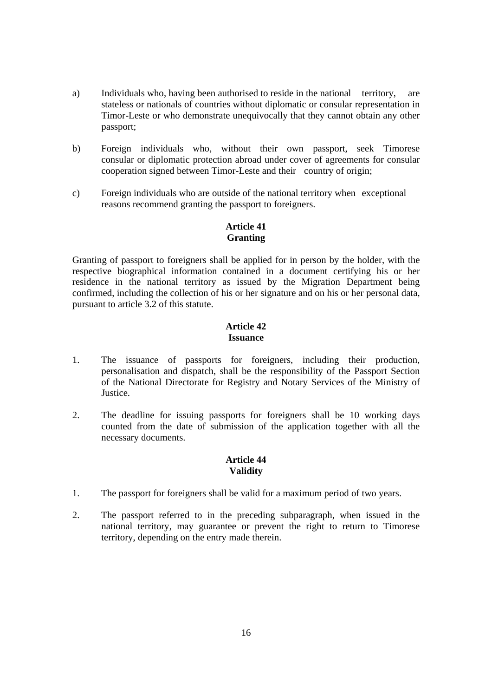- a) Individuals who, having been authorised to reside in the national territory, are stateless or nationals of countries without diplomatic or consular representation in Timor-Leste or who demonstrate unequivocally that they cannot obtain any other passport;
- b) Foreign individuals who, without their own passport, seek Timorese consular or diplomatic protection abroad under cover of agreements for consular cooperation signed between Timor-Leste and their country of origin;
- c) Foreign individuals who are outside of the national territory when exceptional reasons recommend granting the passport to foreigners.

# **Article 41 Granting**

Granting of passport to foreigners shall be applied for in person by the holder, with the respective biographical information contained in a document certifying his or her residence in the national territory as issued by the Migration Department being confirmed, including the collection of his or her signature and on his or her personal data, pursuant to article 3.2 of this statute.

## **Article 42 Issuance**

- 1. The issuance of passports for foreigners, including their production, personalisation and dispatch, shall be the responsibility of the Passport Section of the National Directorate for Registry and Notary Services of the Ministry of Justice.
- 2. The deadline for issuing passports for foreigners shall be 10 working days counted from the date of submission of the application together with all the necessary documents.

# **Article 44 Validity**

- 1. The passport for foreigners shall be valid for a maximum period of two years.
- 2. The passport referred to in the preceding subparagraph, when issued in the national territory, may guarantee or prevent the right to return to Timorese territory, depending on the entry made therein.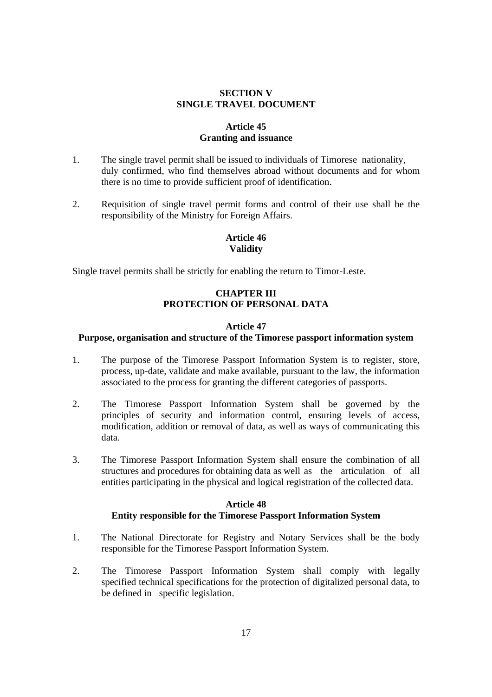### **SECTION V SINGLE TRAVEL DOCUMENT**

# **Article 45 Granting and issuance**

- 1. The single travel permit shall be issued to individuals of Timorese nationality, duly confirmed, who find themselves abroad without documents and for whom there is no time to provide sufficient proof of identification.
- 2. Requisition of single travel permit forms and control of their use shall be the responsibility of the Ministry for Foreign Affairs.

# **Article 46 Validity**

Single travel permits shall be strictly for enabling the return to Timor-Leste.

# **CHAPTER III PROTECTION OF PERSONAL DATA**

#### **Article 47**

#### **Purpose, organisation and structure of the Timorese passport information system**

- 1. The purpose of the Timorese Passport Information System is to register, store, process, up-date, validate and make available, pursuant to the law, the information associated to the process for granting the different categories of passports.
- 2. The Timorese Passport Information System shall be governed by the principles of security and information control, ensuring levels of access, modification, addition or removal of data, as well as ways of communicating this data.
- 3. The Timorese Passport Information System shall ensure the combination of all structures and procedures for obtaining data as well as the articulation of all entities participating in the physical and logical registration of the collected data.

#### **Article 48 Entity responsible for the Timorese Passport Information System**

- 1. The National Directorate for Registry and Notary Services shall be the body responsible for the Timorese Passport Information System.
- 2. The Timorese Passport Information System shall comply with legally specified technical specifications for the protection of digitalized personal data, to be defined in specific legislation.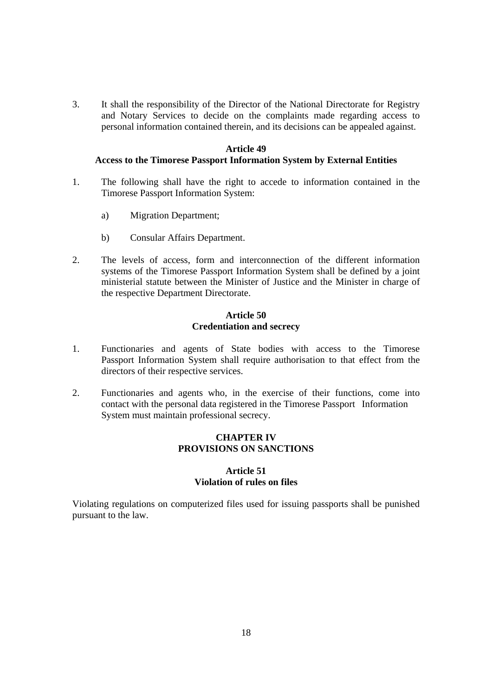3. It shall the responsibility of the Director of the National Directorate for Registry and Notary Services to decide on the complaints made regarding access to personal information contained therein, and its decisions can be appealed against.

#### **Article 49**

# **Access to the Timorese Passport Information System by External Entities**

- 1. The following shall have the right to accede to information contained in the Timorese Passport Information System:
	- a) Migration Department;
	- b) Consular Affairs Department.
- 2. The levels of access, form and interconnection of the different information systems of the Timorese Passport Information System shall be defined by a joint ministerial statute between the Minister of Justice and the Minister in charge of the respective Department Directorate.

#### **Article 50 Credentiation and secrecy**

- 1. Functionaries and agents of State bodies with access to the Timorese Passport Information System shall require authorisation to that effect from the directors of their respective services.
- 2. Functionaries and agents who, in the exercise of their functions, come into contact with the personal data registered in the Timorese Passport Information System must maintain professional secrecy.

# **CHAPTER IV PROVISIONS ON SANCTIONS**

# **Article 51 Violation of rules on files**

Violating regulations on computerized files used for issuing passports shall be punished pursuant to the law.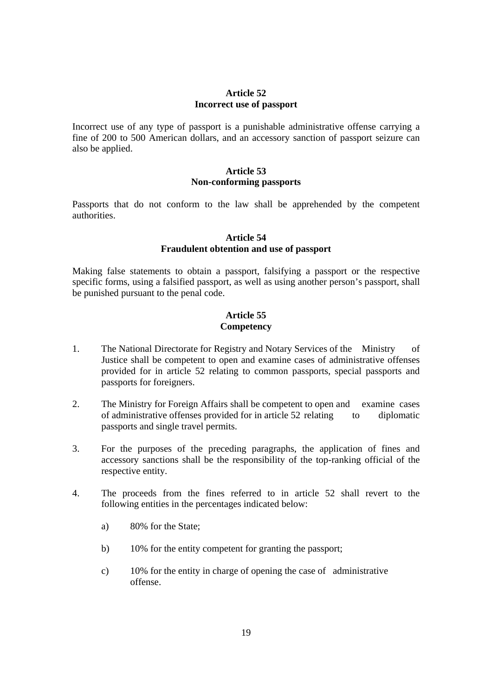#### **Article 52 Incorrect use of passport**

Incorrect use of any type of passport is a punishable administrative offense carrying a fine of 200 to 500 American dollars, and an accessory sanction of passport seizure can also be applied.

### **Article 53 Non-conforming passports**

Passports that do not conform to the law shall be apprehended by the competent authorities.

## **Article 54 Fraudulent obtention and use of passport**

Making false statements to obtain a passport, falsifying a passport or the respective specific forms, using a falsified passport, as well as using another person's passport, shall be punished pursuant to the penal code.

# **Article 55 Competency**

- 1. The National Directorate for Registry and Notary Services of the Ministry of Justice shall be competent to open and examine cases of administrative offenses provided for in article 52 relating to common passports, special passports and passports for foreigners.
- 2. The Ministry for Foreign Affairs shall be competent to open and examine cases of administrative offenses provided for in article 52 relating to diplomatic passports and single travel permits.
- 3. For the purposes of the preceding paragraphs, the application of fines and accessory sanctions shall be the responsibility of the top-ranking official of the respective entity.
- 4. The proceeds from the fines referred to in article 52 shall revert to the following entities in the percentages indicated below:
	- a) 80% for the State;
	- b) 10% for the entity competent for granting the passport;
	- c) 10% for the entity in charge of opening the case of administrative offense.